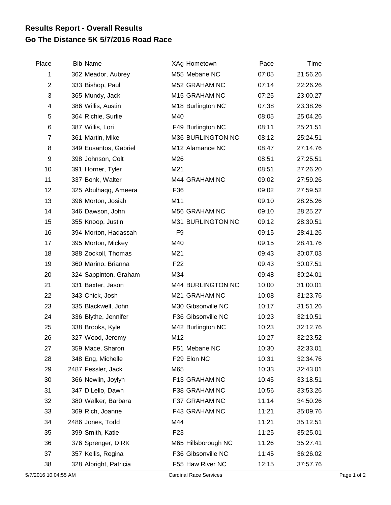## **Go The Distance 5K 5/7/2016 Road Race Results Report - Overall Results**

| Place          | <b>Bib Name</b>        | XAg Hometown        | Pace  | Time     |  |
|----------------|------------------------|---------------------|-------|----------|--|
| 1              | 362 Meador, Aubrey     | M55 Mebane NC       | 07:05 | 21:56.26 |  |
| $\overline{c}$ | 333 Bishop, Paul       | M52 GRAHAM NC       | 07:14 | 22:26.26 |  |
| 3              | 365 Mundy, Jack        | M15 GRAHAM NC       | 07:25 | 23:00.27 |  |
| 4              | 386 Willis, Austin     | M18 Burlington NC   | 07:38 | 23:38.26 |  |
| 5              | 364 Richie, Surlie     | M40                 | 08:05 | 25:04.26 |  |
| 6              | 387 Willis, Lori       | F49 Burlington NC   | 08:11 | 25:21.51 |  |
| $\overline{7}$ | 361 Martin, Mike       | M36 BURLINGTON NC   | 08:12 | 25:24.51 |  |
| 8              | 349 Eusantos, Gabriel  | M12 Alamance NC     | 08:47 | 27:14.76 |  |
| 9              | 398 Johnson, Colt      | M26                 | 08:51 | 27:25.51 |  |
| 10             | 391 Horner, Tyler      | M21                 | 08:51 | 27:26.20 |  |
| 11             | 337 Bonk, Walter       | M44 GRAHAM NC       | 09:02 | 27:59.26 |  |
| 12             | 325 Abulhaqq, Ameera   | F36                 | 09:02 | 27:59.52 |  |
| 13             | 396 Morton, Josiah     | M11                 | 09:10 | 28:25.26 |  |
| 14             | 346 Dawson, John       | M56 GRAHAM NC       | 09:10 | 28:25.27 |  |
| 15             | 355 Knoop, Justin      | M31 BURLINGTON NC   | 09:12 | 28:30.51 |  |
| 16             | 394 Morton, Hadassah   | F <sub>9</sub>      | 09:15 | 28:41.26 |  |
| 17             | 395 Morton, Mickey     | M40                 | 09:15 | 28:41.76 |  |
| 18             | 388 Zockoll, Thomas    | M21                 | 09:43 | 30:07.03 |  |
| 19             | 360 Marino, Brianna    | F <sub>22</sub>     | 09:43 | 30:07.51 |  |
| 20             | 324 Sappinton, Graham  | M34                 | 09:48 | 30:24.01 |  |
| 21             | 331 Baxter, Jason      | M44 BURLINGTON NC   | 10:00 | 31:00.01 |  |
| 22             | 343 Chick, Josh        | M21 GRAHAM NC       | 10:08 | 31:23.76 |  |
| 23             | 335 Blackwell, John    | M30 Gibsonville NC  | 10:17 | 31:51.26 |  |
| 24             | 336 Blythe, Jennifer   | F36 Gibsonville NC  | 10:23 | 32:10.51 |  |
| 25             | 338 Brooks, Kyle       | M42 Burlington NC   | 10:23 | 32:12.76 |  |
| 26             | 327 Wood, Jeremy       | M12                 | 10:27 | 32:23.52 |  |
| 27             | 359 Mace, Sharon       | F51 Mebane NC       | 10:30 | 32:33.01 |  |
| 28             | 348 Eng, Michelle      | F29 Elon NC         | 10:31 | 32:34.76 |  |
| 29             | 2487 Fessler, Jack     | M65                 | 10:33 | 32:43.01 |  |
| 30             | 366 Newlin, Joylyn     | F13 GRAHAM NC       | 10:45 | 33:18.51 |  |
| 31             | 347 DiLello, Dawn      | F38 GRAHAM NC       | 10:56 | 33:53.26 |  |
| 32             | 380 Walker, Barbara    | F37 GRAHAM NC       | 11:14 | 34:50.26 |  |
| 33             | 369 Rich, Joanne       | F43 GRAHAM NC       | 11:21 | 35:09.76 |  |
| 34             | 2486 Jones, Todd       | M44                 | 11:21 | 35:12.51 |  |
| 35             | 399 Smith, Katie       | F <sub>23</sub>     | 11:25 | 35:25.01 |  |
| 36             | 376 Sprenger, DIRK     | M65 Hillsborough NC | 11:26 | 35:27.41 |  |
| 37             | 357 Kellis, Regina     | F36 Gibsonville NC  | 11:45 | 36:26.02 |  |
| 38             | 328 Albright, Patricia | F55 Haw River NC    | 12:15 | 37:57.76 |  |